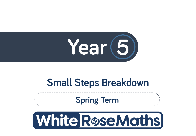

# **Small Steps Breakdown**

**Spring Term**

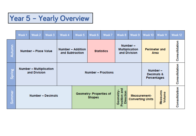## Year 5 - Yearly Overview

|                                        | Week1                                          | Week 2 | Week 3                                      | Week 4                    | Week 5                                         | Week 6 | Week 7                                           | Week 8                                                                               | Week 9                       | Week 10                              | Week <sub>11</sub> | Week 12       |
|----------------------------------------|------------------------------------------------|--------|---------------------------------------------|---------------------------|------------------------------------------------|--------|--------------------------------------------------|--------------------------------------------------------------------------------------|------------------------------|--------------------------------------|--------------------|---------------|
| utumn                                  | Number - Place Value                           |        | <b>Number - Addition</b><br>and Subtraction |                           | <b>Statistics</b>                              |        | Number-<br><b>Multiplication</b><br>and Division |                                                                                      | <b>Perimeter and</b><br>Area |                                      | Consolidation      |               |
| Spring                                 | <b>Number - Multiplication</b><br>and Division |        |                                             | <b>Number - Fractions</b> |                                                |        |                                                  |                                                                                      |                              | Number-<br>Decimals &<br>Percentages |                    | Consolidation |
| $\overline{a}$<br>Ĕ<br><b>E</b><br>Sum | <b>Number - Decimals</b>                       |        |                                             |                           | <b>Geometry-Properties of</b><br><b>Shapes</b> |        |                                                  | and<br>Geometry-<br>Direction<br>Position<br>Measurement-<br><b>Converting Units</b> |                              | Measures<br>Volume                   | Consolidation      |               |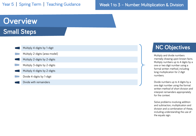### Week 1 to 3 – Number: Multiplication & Division

## **Overview Small Steps**

| Multiply 4-digits by 1-digit   |
|--------------------------------|
| Multiply 2-digits (area model) |
| Multiply 2-digits by 2-digits  |
| Multiply 3-digits by 2-digits  |
| Multiply 4-digits by 2-digits  |
| Divide 4-digits by 1-digit     |
| Divide with remainders         |

## **NC Objectives**

Multiply and divide numbers mentally drawing upon known facts. Multiply numbers up to 4 digits by a one or two digit number using a formal written method, including long multiplication for 2 digit numbers.

Divide numbers up to 4 digits by a one digit number using the formal written method of short division and interpret remainders appropriately for the context.

Solve problems involving addition and subtraction, multiplication and division and a combination of these, including understanding the use of the equals sign.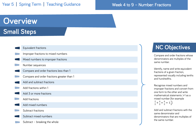#### Week 4 to 9 – Number: Fractions

## **Overview Small Steps**

| Equivalent fractions                       |
|--------------------------------------------|
| Improper fractions to mixed numbers        |
| Mixed numbers to improper fractions        |
| Number sequences                           |
| Compare and order fractions less than 1    |
| Compare and order fractions greater than 1 |
| Add and subtract fractions                 |
| Add fractions within 1                     |
| Add 3 or more fractions                    |
| Add fractions                              |
| Add mixed numbers                          |
| Subtract fractions                         |
| Subtract mixed numbers                     |
| Subtract - breaking the whole              |

## **NC Objectives**

Compare and order fractions whose denominators are multiples of the same number.

Identify, name and write equivalent fractions of a given fraction, represented visually including tenths and hundredths.

Recognise mixed numbers and improper fractions and convert from one form to the other and write mathematical statements >1 as a mixed number [for example  $\frac{2}{5} + \frac{4}{5} = \frac{6}{5} = 1\frac{1}{5}$ 

Add and subtract fractions with the same denominator and denominators that are multiples of the same number.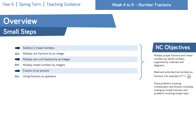#### Week 4 to 9 – Number: Fractions

## **Overview Small Steps**

| Subtract 2 mixed numbers                  |
|-------------------------------------------|
| Multiply unit fractions by an integer     |
| Multiply non-unit fractions by an integer |
| Multiply mixed numbers by integers        |
| Fraction of an amount                     |

Using fractions as operators

## **NC Objectives**

Multiply proper fractions and mixed numbers by whole numbers, supported by materials and diagrams.

Read and write decimal numbers as fractions [ for example 0.71  $=$   $\frac{71}{100}$ ]

Solve problems involving multiplication and division, including scaling by simple fractions and problems involving simple rates.